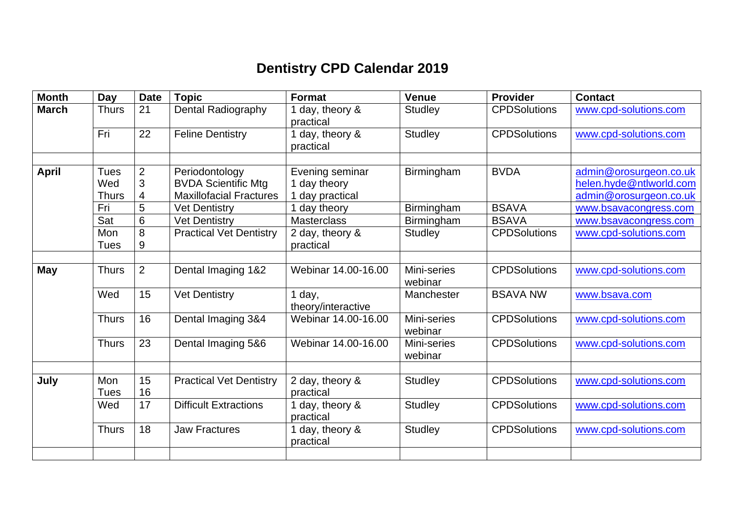## **Dentistry CPD Calendar 2019**

| <b>Month</b> | Day          | <b>Date</b>     | <b>Topic</b>                   | <b>Format</b>                | <b>Venue</b>           | <b>Provider</b>     | <b>Contact</b>          |
|--------------|--------------|-----------------|--------------------------------|------------------------------|------------------------|---------------------|-------------------------|
| <b>March</b> | <b>Thurs</b> | 21              | Dental Radiography             | day, theory &<br>practical   | Studley                | <b>CPDSolutions</b> | www.cpd-solutions.com   |
|              | Fri          | 22              | <b>Feline Dentistry</b>        | day, theory &<br>practical   | <b>Studley</b>         | <b>CPDSolutions</b> | www.cpd-solutions.com   |
|              |              |                 |                                |                              |                        |                     |                         |
| <b>April</b> | <b>Tues</b>  | $\overline{2}$  | Periodontology                 | Evening seminar              | Birmingham             | <b>BVDA</b>         | admin@orosurgeon.co.uk  |
|              | Wed          | 3               | <b>BVDA Scientific Mtg</b>     | day theory                   |                        |                     | helen.hyde@ntlworld.com |
|              | <b>Thurs</b> | 4               | <b>Maxillofacial Fractures</b> | day practical                |                        |                     | admin@orosurgeon.co.uk  |
|              | Fri          | 5               | <b>Vet Dentistry</b>           | day theory                   | Birmingham             | <b>BSAVA</b>        | www.bsavacongress.com   |
|              | Sat          | $6\phantom{1}6$ | <b>Vet Dentistry</b>           | <b>Masterclass</b>           | Birmingham             | <b>BSAVA</b>        | www.bsavacongress.com   |
|              | Mon          | 8               | <b>Practical Vet Dentistry</b> | 2 day, theory &              | <b>Studley</b>         | <b>CPDSolutions</b> | www.cpd-solutions.com   |
|              | <b>Tues</b>  | 9               |                                | practical                    |                        |                     |                         |
|              |              |                 |                                |                              |                        |                     |                         |
| May          | <b>Thurs</b> | $\overline{2}$  | Dental Imaging 1&2             | Webinar 14,00-16,00          | Mini-series<br>webinar | <b>CPDSolutions</b> | www.cpd-solutions.com   |
|              | Wed          | 15              | <b>Vet Dentistry</b>           | day,<br>theory/interactive   | Manchester             | <b>BSAVA NW</b>     | www.bsava.com           |
|              | <b>Thurs</b> | 16              | Dental Imaging 3&4             | Webinar 14.00-16.00          | Mini-series<br>webinar | <b>CPDSolutions</b> | www.cpd-solutions.com   |
|              | <b>Thurs</b> | 23              | Dental Imaging 5&6             | Webinar 14,00-16,00          | Mini-series<br>webinar | <b>CPDSolutions</b> | www.cpd-solutions.com   |
|              |              |                 |                                |                              |                        |                     |                         |
| July         | Mon<br>Tues  | 15<br>16        | <b>Practical Vet Dentistry</b> | 2 day, theory &<br>practical | <b>Studley</b>         | <b>CPDSolutions</b> | www.cpd-solutions.com   |
|              | Wed          | 17              | <b>Difficult Extractions</b>   | day, theory &<br>practical   | Studley                | <b>CPDSolutions</b> | www.cpd-solutions.com   |
|              | <b>Thurs</b> | 18              | <b>Jaw Fractures</b>           | day, theory &<br>practical   | Studley                | <b>CPDSolutions</b> | www.cpd-solutions.com   |
|              |              |                 |                                |                              |                        |                     |                         |